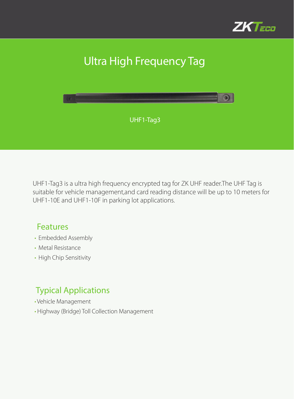

# Ultra High Frequency Tag



UHF1-Tag3 is a ultra high frequency encrypted tag for ZK UHF reader.The UHF Tag is suitable for vehicle management,and card reading distance will be up to 10 meters for UHF1-10E and UHF1-10F in parking lot applications.

#### Features

- Embedded Assembly
- Metal Resistance
- High Chip Sensitivity

#### Typical Applications

- Vehicle Management
- Highway (Bridge) Toll Collection Management